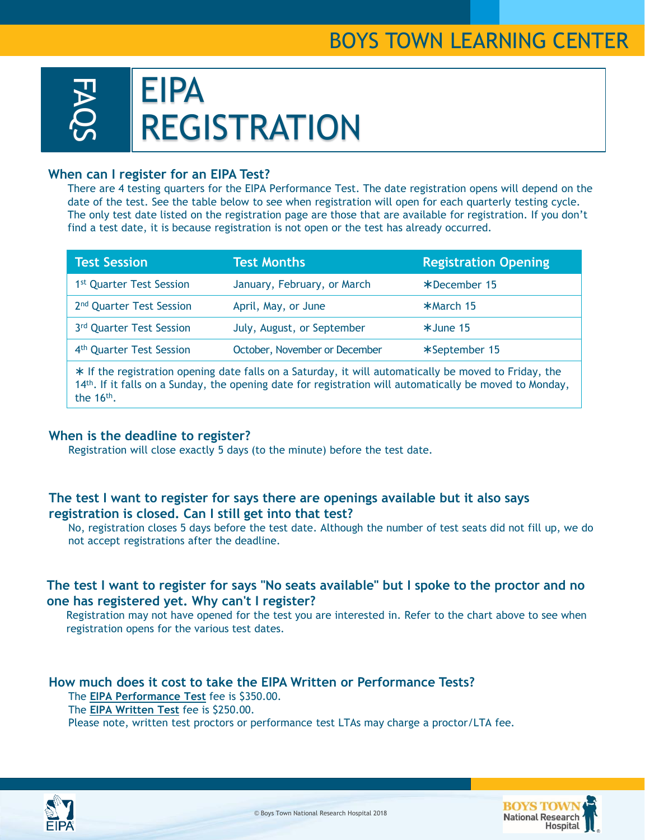# BOYS TOWN LEARNING CENTER



#### **When can I register for an EIPA Test?**

There are 4 testing quarters for the EIPA Performance Test. The date registration opens will depend on the date of the test. See the table below to see when registration will open for each quarterly testing cycle. The only test date listed on the registration page are those that are available for registration. If you don't find a test date, it is because registration is not open or the test has already occurred.

| <b>Test Session</b>                                                                                     | <b>Test Months</b>            | <b>Registration Opening</b> |
|---------------------------------------------------------------------------------------------------------|-------------------------------|-----------------------------|
| 1 <sup>st</sup> Quarter Test Session                                                                    | January, February, or March   | *December 15                |
| 2 <sup>nd</sup> Quarter Test Session                                                                    | April, May, or June           | *March 15                   |
| 3rd Quarter Test Session                                                                                | July, August, or September    | $*$ June 15                 |
| 4 <sup>th</sup> Quarter Test Session                                                                    | October, November or December | *September 15               |
| $*$ If the registration opening date falls on a Saturday, it will automatically be moved to Friday, the |                               |                             |

 If the registration opening date falls on a Saturday, it will automatically be moved to Friday, the 14<sup>th</sup>. If it falls on a Sunday, the opening date for registration will automatically be moved to Monday, the  $16<sup>th</sup>$ .

#### **When is the deadline to register?**

Registration will close exactly 5 days (to the minute) before the test date.

### **The test I want to register for says there are openings available but it also says registration is closed. Can I still get into that test?**

No, registration closes 5 days before the test date. Although the number of test seats did not fill up, we do not accept registrations after the deadline.

## **The test I want to register for says "No seats available" but I spoke to the proctor and no one has registered yet. Why can't I register?**

Registration may not have opened for the test you are interested in. Refer to the chart above to see when registration opens for the various test dates.

**How much does it cost to take the EIPA Written or Performance Tests?**  The **EIPA Performance Test** fee is \$350.00. The **EIPA Written Test** fee is \$250.00. Please note, written test proctors or performance test LTAs may charge a proctor/LTA fee.